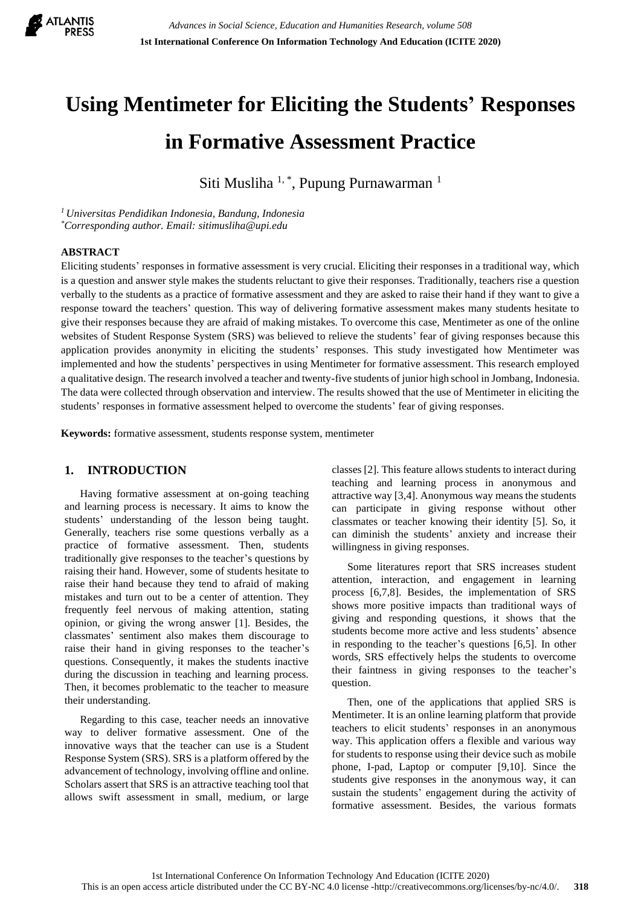

# **Using Mentimeter for Eliciting the Students' Responses in Formative Assessment Practice**

Siti Musliha <sup>1, \*</sup>, Pupung Purnawarman<sup>1</sup>

*<sup>1</sup>Universitas Pendidikan Indonesia, Bandung, Indonesia \*Corresponding author. Email: sitimusliha@upi.edu*

## **ABSTRACT**

Eliciting students' responses in formative assessment is very crucial. Eliciting their responses in a traditional way, which is a question and answer style makes the students reluctant to give their responses. Traditionally, teachers rise a question verbally to the students as a practice of formative assessment and they are asked to raise their hand if they want to give a response toward the teachers' question. This way of delivering formative assessment makes many students hesitate to give their responses because they are afraid of making mistakes. To overcome this case, Mentimeter as one of the online websites of Student Response System (SRS) was believed to relieve the students' fear of giving responses because this application provides anonymity in eliciting the students' responses. This study investigated how Mentimeter was implemented and how the students' perspectives in using Mentimeter for formative assessment. This research employed a qualitative design. The research involved a teacher and twenty-five students of junior high school in Jombang, Indonesia. The data were collected through observation and interview. The results showed that the use of Mentimeter in eliciting the students' responses in formative assessment helped to overcome the students' fear of giving responses.

**Keywords:** formative assessment, students response system, mentimeter

## **1. INTRODUCTION**

Having formative assessment at on-going teaching and learning process is necessary. It aims to know the students' understanding of the lesson being taught. Generally, teachers rise some questions verbally as a practice of formative assessment. Then, students traditionally give responses to the teacher's questions by raising their hand. However, some of students hesitate to raise their hand because they tend to afraid of making mistakes and turn out to be a center of attention. They frequently feel nervous of making attention, stating opinion, or giving the wrong answer [1]. Besides, the classmates' sentiment also makes them discourage to raise their hand in giving responses to the teacher's questions. Consequently, it makes the students inactive during the discussion in teaching and learning process. Then, it becomes problematic to the teacher to measure their understanding.

Regarding to this case, teacher needs an innovative way to deliver formative assessment. One of the innovative ways that the teacher can use is a Student Response System (SRS). SRS is a platform offered by the advancement of technology, involving offline and online. Scholars assert that SRS is an attractive teaching tool that allows swift assessment in small, medium, or large classes [2]. This feature allows students to interact during teaching and learning process in anonymous and attractive way [3,4]. Anonymous way means the students can participate in giving response without other classmates or teacher knowing their identity [5]. So, it can diminish the students' anxiety and increase their willingness in giving responses.

Some literatures report that SRS increases student attention, interaction, and engagement in learning process [6,7,8]. Besides, the implementation of SRS shows more positive impacts than traditional ways of giving and responding questions, it shows that the students become more active and less students' absence in responding to the teacher's questions [6,5]. In other words, SRS effectively helps the students to overcome their faintness in giving responses to the teacher's question.

Then, one of the applications that applied SRS is Mentimeter. It is an online learning platform that provide teachers to elicit students' responses in an anonymous way. This application offers a flexible and various way for students to response using their device such as mobile phone, I-pad, Laptop or computer [9,10]. Since the students give responses in the anonymous way, it can sustain the students' engagement during the activity of formative assessment. Besides, the various formats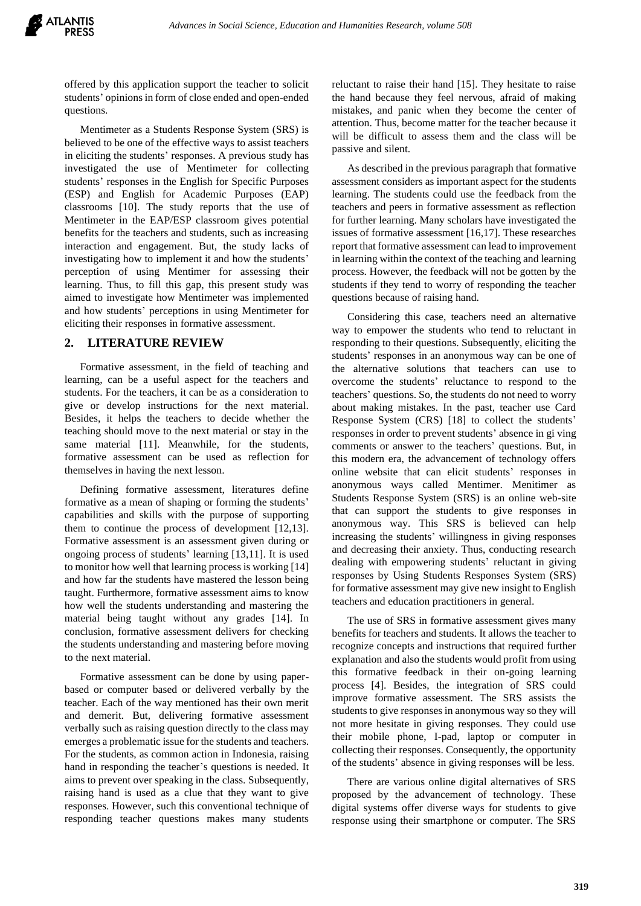offered by this application support the teacher to solicit students' opinions in form of close ended and open-ended questions.

Mentimeter as a Students Response System (SRS) is believed to be one of the effective ways to assist teachers in eliciting the students' responses. A previous study has investigated the use of Mentimeter for collecting students' responses in the English for Specific Purposes (ESP) and English for Academic Purposes (EAP) classrooms [10]. The study reports that the use of Mentimeter in the EAP/ESP classroom gives potential benefits for the teachers and students, such as increasing interaction and engagement. But, the study lacks of investigating how to implement it and how the students' perception of using Mentimer for assessing their learning. Thus, to fill this gap, this present study was aimed to investigate how Mentimeter was implemented and how students' perceptions in using Mentimeter for eliciting their responses in formative assessment.

#### **2. LITERATURE REVIEW**

Formative assessment, in the field of teaching and learning, can be a useful aspect for the teachers and students. For the teachers, it can be as a consideration to give or develop instructions for the next material. Besides, it helps the teachers to decide whether the teaching should move to the next material or stay in the same material [11]. Meanwhile, for the students, formative assessment can be used as reflection for themselves in having the next lesson.

Defining formative assessment, literatures define formative as a mean of shaping or forming the students' capabilities and skills with the purpose of supporting them to continue the process of development [12,13]. Formative assessment is an assessment given during or ongoing process of students' learning [13,11]. It is used to monitor how well that learning process is working [14] and how far the students have mastered the lesson being taught. Furthermore, formative assessment aims to know how well the students understanding and mastering the material being taught without any grades [14]. In conclusion, formative assessment delivers for checking the students understanding and mastering before moving to the next material.

Formative assessment can be done by using paperbased or computer based or delivered verbally by the teacher. Each of the way mentioned has their own merit and demerit. But, delivering formative assessment verbally such as raising question directly to the class may emerges a problematic issue for the students and teachers. For the students, as common action in Indonesia, raising hand in responding the teacher's questions is needed. It aims to prevent over speaking in the class. Subsequently, raising hand is used as a clue that they want to give responses. However, such this conventional technique of responding teacher questions makes many students reluctant to raise their hand [15]. They hesitate to raise the hand because they feel nervous, afraid of making mistakes, and panic when they become the center of attention. Thus, become matter for the teacher because it will be difficult to assess them and the class will be passive and silent.

As described in the previous paragraph that formative assessment considers as important aspect for the students learning. The students could use the feedback from the teachers and peers in formative assessment as reflection for further learning. Many scholars have investigated the issues of formative assessment [16,17]. These researches report that formative assessment can lead to improvement in learning within the context of the teaching and learning process. However, the feedback will not be gotten by the students if they tend to worry of responding the teacher questions because of raising hand.

Considering this case, teachers need an alternative way to empower the students who tend to reluctant in responding to their questions. Subsequently, eliciting the students' responses in an anonymous way can be one of the alternative solutions that teachers can use to overcome the students' reluctance to respond to the teachers' questions. So, the students do not need to worry about making mistakes. In the past, teacher use Card Response System (CRS) [18] to collect the students' responses in order to prevent students' absence in gi ving comments or answer to the teachers' questions. But, in this modern era, the advancement of technology offers online website that can elicit students' responses in anonymous ways called Mentimer. Menitimer as Students Response System (SRS) is an online web-site that can support the students to give responses in anonymous way. This SRS is believed can help increasing the students' willingness in giving responses and decreasing their anxiety. Thus, conducting research dealing with empowering students' reluctant in giving responses by Using Students Responses System (SRS) for formative assessment may give new insight to English teachers and education practitioners in general.

The use of SRS in formative assessment gives many benefits for teachers and students. It allows the teacher to recognize concepts and instructions that required further explanation and also the students would profit from using this formative feedback in their on-going learning process [4]. Besides, the integration of SRS could improve formative assessment. The SRS assists the students to give responses in anonymous way so they will not more hesitate in giving responses. They could use their mobile phone, I-pad, laptop or computer in collecting their responses. Consequently, the opportunity of the students' absence in giving responses will be less.

There are various online digital alternatives of SRS proposed by the advancement of technology. These digital systems offer diverse ways for students to give response using their smartphone or computer. The SRS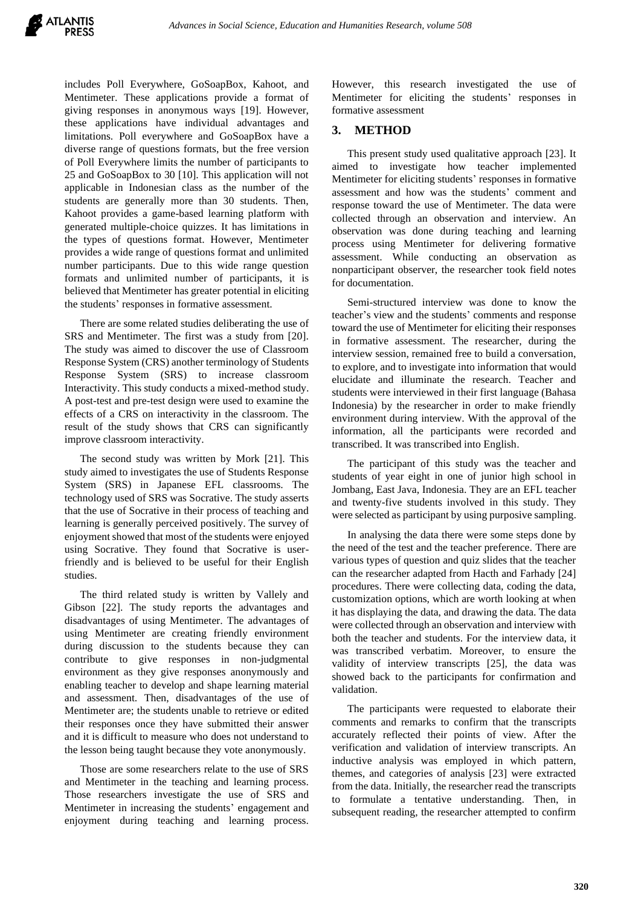includes Poll Everywhere, GoSoapBox, Kahoot, and Mentimeter. These applications provide a format of giving responses in anonymous ways [19]. However, these applications have individual advantages and limitations. Poll everywhere and GoSoapBox have a diverse range of questions formats, but the free version of Poll Everywhere limits the number of participants to 25 and GoSoapBox to 30 [10]. This application will not applicable in Indonesian class as the number of the students are generally more than 30 students. Then, Kahoot provides a game-based learning platform with generated multiple-choice quizzes. It has limitations in the types of questions format. However, Mentimeter provides a wide range of questions format and unlimited number participants. Due to this wide range question formats and unlimited number of participants, it is believed that Mentimeter has greater potential in eliciting the students' responses in formative assessment.

There are some related studies deliberating the use of SRS and Mentimeter. The first was a study from [20]. The study was aimed to discover the use of Classroom Response System (CRS) another terminology of Students Response System (SRS) to increase classroom Interactivity. This study conducts a mixed-method study. A post-test and pre-test design were used to examine the effects of a CRS on interactivity in the classroom. The result of the study shows that CRS can significantly improve classroom interactivity.

The second study was written by Mork [21]. This study aimed to investigates the use of Students Response System (SRS) in Japanese EFL classrooms. The technology used of SRS was Socrative. The study asserts that the use of Socrative in their process of teaching and learning is generally perceived positively. The survey of enjoyment showed that most of the students were enjoyed using Socrative. They found that Socrative is userfriendly and is believed to be useful for their English studies.

The third related study is written by Vallely and Gibson [22]. The study reports the advantages and disadvantages of using Mentimeter. The advantages of using Mentimeter are creating friendly environment during discussion to the students because they can contribute to give responses in non-judgmental environment as they give responses anonymously and enabling teacher to develop and shape learning material and assessment. Then, disadvantages of the use of Mentimeter are; the students unable to retrieve or edited their responses once they have submitted their answer and it is difficult to measure who does not understand to the lesson being taught because they vote anonymously.

Those are some researchers relate to the use of SRS and Mentimeter in the teaching and learning process. Those researchers investigate the use of SRS and Mentimeter in increasing the students' engagement and enjoyment during teaching and learning process.

However, this research investigated the use of Mentimeter for eliciting the students' responses in formative assessment

## **3. METHOD**

This present study used qualitative approach [23]. It aimed to investigate how teacher implemented Mentimeter for eliciting students' responses in formative assessment and how was the students' comment and response toward the use of Mentimeter. The data were collected through an observation and interview. An observation was done during teaching and learning process using Mentimeter for delivering formative assessment. While conducting an observation as nonparticipant observer, the researcher took field notes for documentation.

Semi-structured interview was done to know the teacher's view and the students' comments and response toward the use of Mentimeter for eliciting their responses in formative assessment. The researcher, during the interview session, remained free to build a conversation, to explore, and to investigate into information that would elucidate and illuminate the research. Teacher and students were interviewed in their first language (Bahasa Indonesia) by the researcher in order to make friendly environment during interview. With the approval of the information, all the participants were recorded and transcribed. It was transcribed into English.

The participant of this study was the teacher and students of year eight in one of junior high school in Jombang, East Java, Indonesia. They are an EFL teacher and twenty-five students involved in this study. They were selected as participant by using purposive sampling.

In analysing the data there were some steps done by the need of the test and the teacher preference. There are various types of question and quiz slides that the teacher can the researcher adapted from Hacth and Farhady [24] procedures. There were collecting data, coding the data, customization options, which are worth looking at when it has displaying the data, and drawing the data. The data were collected through an observation and interview with both the teacher and students. For the interview data, it was transcribed verbatim. Moreover, to ensure the validity of interview transcripts [25], the data was showed back to the participants for confirmation and validation.

The participants were requested to elaborate their comments and remarks to confirm that the transcripts accurately reflected their points of view. After the verification and validation of interview transcripts. An inductive analysis was employed in which pattern, themes, and categories of analysis [23] were extracted from the data. Initially, the researcher read the transcripts to formulate a tentative understanding. Then, in subsequent reading, the researcher attempted to confirm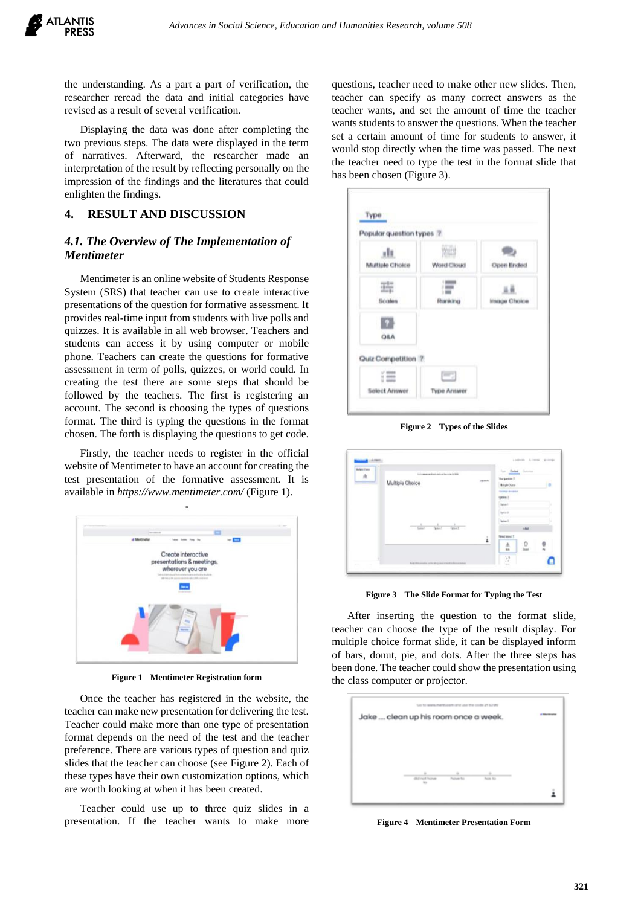the understanding. As a part a part of verification, the researcher reread the data and initial categories have revised as a result of several verification.

Displaying the data was done after completing the two previous steps. The data were displayed in the term of narratives. Afterward, the researcher made an interpretation of the result by reflecting personally on the impression of the findings and the literatures that could enlighten the findings.

### **4. RESULT AND DISCUSSION**

# *4.1. The Overview of The Implementation of Mentimeter*

Mentimeter is an online website of Students Response System (SRS) that teacher can use to create interactive presentations of the question for formative assessment. It provides real-time input from students with live polls and quizzes. It is available in all web browser. Teachers and students can access it by using computer or mobile phone. Teachers can create the questions for formative assessment in term of polls, quizzes, or world could. In creating the test there are some steps that should be followed by the teachers. The first is registering an account. The second is choosing the types of questions format. The third is typing the questions in the format chosen. The forth is displaying the questions to get code.

Firstly, the teacher needs to register in the official website of Mentimeter to have an account for creating the test presentation of the formative assessment. It is available in *https://www.mentimeter.com/* (Figure 1).



**Figure 1 Mentimeter Registration form**

Once the teacher has registered in the website, the teacher can make new presentation for delivering the test. Teacher could make more than one type of presentation format depends on the need of the test and the teacher preference. There are various types of question and quiz slides that the teacher can choose (see Figure 2). Each of these types have their own customization options, which are worth looking at when it has been created.

Teacher could use up to three quiz slides in a presentation. If the teacher wants to make more questions, teacher need to make other new slides. Then, teacher can specify as many correct answers as the teacher wants, and set the amount of time the teacher wants students to answer the questions. When the teacher set a certain amount of time for students to answer, it would stop directly when the time was passed. The next the teacher need to type the test in the format slide that has been chosen (Figure 3).

| Popular question types 7 |                    |              |
|--------------------------|--------------------|--------------|
| Multiple Choice          | NET.<br>Word Cloud | Open Ended   |
| 蒜<br>ficoles             | <b>Fituralcing</b> | Image Cholce |
| <b>Q&amp;A</b>           |                    |              |
| Quiz Competition 7       |                    |              |
| 疆                        | التتنا             |              |
|                          | <b>Type Answer</b> |              |

**Figure 2 Types of the Slides**

| <b>MARKETONS</b> | This for design manufacturers and the contact of 1994.                                                |     | for the County      |               |     |
|------------------|-------------------------------------------------------------------------------------------------------|-----|---------------------|---------------|-----|
| A                | Multiple Choice                                                                                       | men | Transport St.       |               |     |
|                  |                                                                                                       |     | Mataly Osme         |               | T B |
|                  |                                                                                                       |     | taking korana       |               |     |
|                  |                                                                                                       |     | Gove 1              |               |     |
|                  |                                                                                                       |     | Opinari.            |               |     |
|                  |                                                                                                       |     | Upto 2              |               |     |
|                  |                                                                                                       |     | Datas: 3            |               |     |
|                  | $\frac{1}{\tan x}$<br>$\frac{1}{(\mathbf{q}_{\text{max}})^2} = \frac{1}{(\mathbf{q}_{\text{max}})^2}$ |     |                     | $v$ Add       |     |
|                  |                                                                                                       | i   | <b>Read basic 7</b> |               |     |
|                  |                                                                                                       |     | 点<br>m              | $\frac{0}{1}$ | ė   |
|                  |                                                                                                       |     |                     |               |     |
|                  | the participance in a participance of the AF and                                                      |     | ×                   |               |     |

**Figure 3 The Slide Format for Typing the Test**

After inserting the question to the format slide, teacher can choose the type of the result display. For multiple choice format slide, it can be displayed inform of bars, donut, pie, and dots. After the three steps has been done. The teacher could show the presentation using the class computer or projector.



**Figure 4 Mentimeter Presentation Form**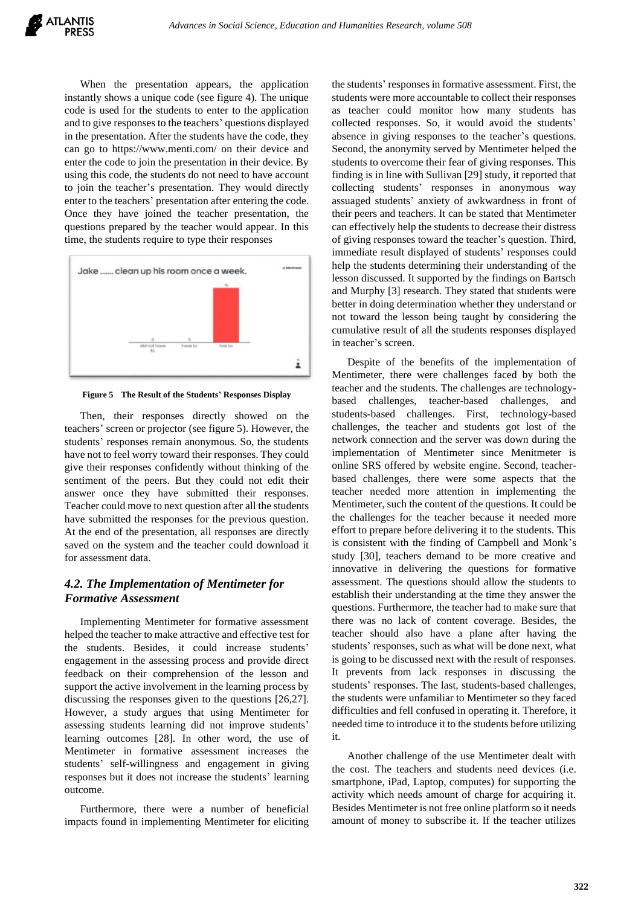When the presentation appears, the application instantly shows a unique code (see figure 4). The unique code is used for the students to enter to the application and to give responses to the teachers' questions displayed in the presentation. After the students have the code, they can go to https://www.menti.com/ on their device and enter the code to join the presentation in their device. By using this code, the students do not need to have account to join the teacher's presentation. They would directly enter to the teachers' presentation after entering the code. Once they have joined the teacher presentation, the questions prepared by the teacher would appear. In this time, the students require to type their responses



**Figure 5 The Result of the Students' Responses Display**

Then, their responses directly showed on the teachers' screen or projector (see figure 5). However, the students' responses remain anonymous. So, the students have not to feel worry toward their responses. They could give their responses confidently without thinking of the sentiment of the peers. But they could not edit their answer once they have submitted their responses. Teacher could move to next question after all the students have submitted the responses for the previous question. At the end of the presentation, all responses are directly saved on the system and the teacher could download it for assessment data.

# *4.2. The Implementation of Mentimeter for Formative Assessment*

Implementing Mentimeter for formative assessment helped the teacher to make attractive and effective test for the students. Besides, it could increase students' engagement in the assessing process and provide direct feedback on their comprehension of the lesson and support the active involvement in the learning process by discussing the responses given to the questions [26,27]. However, a study argues that using Mentimeter for assessing students learning did not improve students' learning outcomes [28]. In other word, the use of Mentimeter in formative assessment increases the students' self-willingness and engagement in giving responses but it does not increase the students' learning outcome.

Furthermore, there were a number of beneficial impacts found in implementing Mentimeter for eliciting the students' responses in formative assessment. First, the students were more accountable to collect their responses as teacher could monitor how many students has collected responses. So, it would avoid the students' absence in giving responses to the teacher's questions. Second, the anonymity served by Mentimeter helped the students to overcome their fear of giving responses. This finding is in line with Sullivan [29] study, it reported that collecting students' responses in anonymous way assuaged students' anxiety of awkwardness in front of their peers and teachers. It can be stated that Mentimeter can effectively help the students to decrease their distress of giving responses toward the teacher's question. Third, immediate result displayed of students' responses could help the students determining their understanding of the lesson discussed. It supported by the findings on Bartsch and Murphy [3] research. They stated that students were better in doing determination whether they understand or not toward the lesson being taught by considering the cumulative result of all the students responses displayed in teacher's screen.

Despite of the benefits of the implementation of Mentimeter, there were challenges faced by both the teacher and the students. The challenges are technologybased challenges, teacher-based challenges, and students-based challenges. First, technology-based challenges, the teacher and students got lost of the network connection and the server was down during the implementation of Mentimeter since Menitmeter is online SRS offered by website engine. Second, teacherbased challenges, there were some aspects that the teacher needed more attention in implementing the Mentimeter, such the content of the questions. It could be the challenges for the teacher because it needed more effort to prepare before delivering it to the students. This is consistent with the finding of Campbell and Monk's study [30], teachers demand to be more creative and innovative in delivering the questions for formative assessment. The questions should allow the students to establish their understanding at the time they answer the questions. Furthermore, the teacher had to make sure that there was no lack of content coverage. Besides, the teacher should also have a plane after having the students' responses, such as what will be done next, what is going to be discussed next with the result of responses. It prevents from lack responses in discussing the students' responses. The last, students-based challenges, the students were unfamiliar to Mentimeter so they faced difficulties and fell confused in operating it. Therefore, it needed time to introduce it to the students before utilizing it.

Another challenge of the use Mentimeter dealt with the cost. The teachers and students need devices (i.e. smartphone, iPad, Laptop, computes) for supporting the activity which needs amount of charge for acquiring it. Besides Mentimeter is not free online platform so it needs amount of money to subscribe it. If the teacher utilizes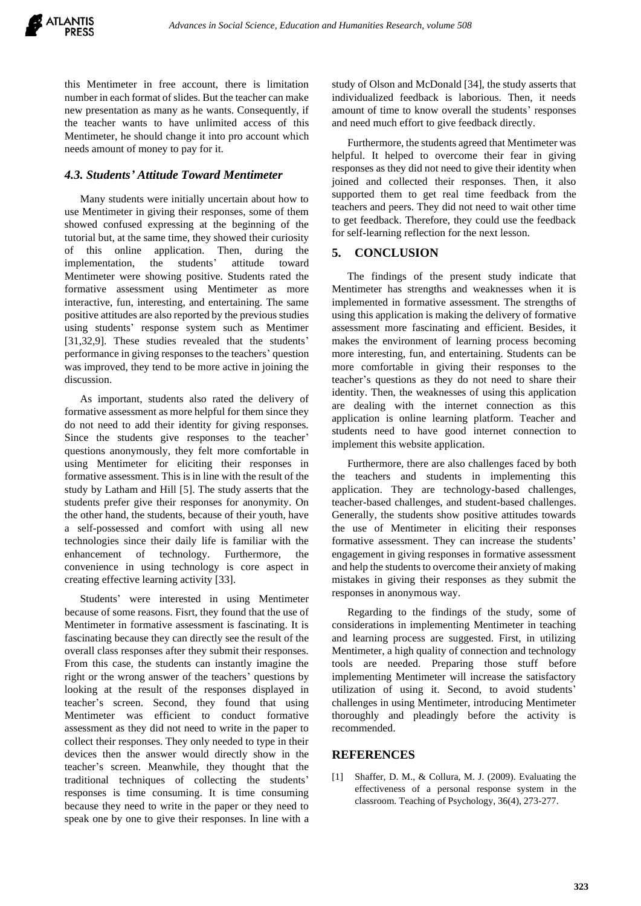

this Mentimeter in free account, there is limitation number in each format of slides. But the teacher can make new presentation as many as he wants. Consequently, if the teacher wants to have unlimited access of this Mentimeter, he should change it into pro account which needs amount of money to pay for it.

### *4.3. Students' Attitude Toward Mentimeter*

Many students were initially uncertain about how to use Mentimeter in giving their responses, some of them showed confused expressing at the beginning of the tutorial but, at the same time, they showed their curiosity of this online application. Then, during the implementation, the students' attitude toward Mentimeter were showing positive. Students rated the formative assessment using Mentimeter as more interactive, fun, interesting, and entertaining. The same positive attitudes are also reported by the previous studies using students' response system such as Mentimer [31,32,9]. These studies revealed that the students' performance in giving responses to the teachers' question was improved, they tend to be more active in joining the discussion.

As important, students also rated the delivery of formative assessment as more helpful for them since they do not need to add their identity for giving responses. Since the students give responses to the teacher' questions anonymously, they felt more comfortable in using Mentimeter for eliciting their responses in formative assessment. This is in line with the result of the study by Latham and Hill [5]. The study asserts that the students prefer give their responses for anonymity. On the other hand, the students, because of their youth, have a self-possessed and comfort with using all new technologies since their daily life is familiar with the enhancement of technology. Furthermore, the convenience in using technology is core aspect in creating effective learning activity [33].

Students' were interested in using Mentimeter because of some reasons. Fisrt, they found that the use of Mentimeter in formative assessment is fascinating. It is fascinating because they can directly see the result of the overall class responses after they submit their responses. From this case, the students can instantly imagine the right or the wrong answer of the teachers' questions by looking at the result of the responses displayed in teacher's screen. Second, they found that using Mentimeter was efficient to conduct formative assessment as they did not need to write in the paper to collect their responses. They only needed to type in their devices then the answer would directly show in the teacher's screen. Meanwhile, they thought that the traditional techniques of collecting the students' responses is time consuming. It is time consuming because they need to write in the paper or they need to speak one by one to give their responses. In line with a study of Olson and McDonald [34], the study asserts that individualized feedback is laborious. Then, it needs amount of time to know overall the students' responses and need much effort to give feedback directly.

Furthermore, the students agreed that Mentimeter was helpful. It helped to overcome their fear in giving responses as they did not need to give their identity when joined and collected their responses. Then, it also supported them to get real time feedback from the teachers and peers. They did not need to wait other time to get feedback. Therefore, they could use the feedback for self-learning reflection for the next lesson.

## **5. CONCLUSION**

The findings of the present study indicate that Mentimeter has strengths and weaknesses when it is implemented in formative assessment. The strengths of using this application is making the delivery of formative assessment more fascinating and efficient. Besides, it makes the environment of learning process becoming more interesting, fun, and entertaining. Students can be more comfortable in giving their responses to the teacher's questions as they do not need to share their identity. Then, the weaknesses of using this application are dealing with the internet connection as this application is online learning platform. Teacher and students need to have good internet connection to implement this website application.

Furthermore, there are also challenges faced by both the teachers and students in implementing this application. They are technology-based challenges, teacher-based challenges, and student-based challenges. Generally, the students show positive attitudes towards the use of Mentimeter in eliciting their responses formative assessment. They can increase the students' engagement in giving responses in formative assessment and help the students to overcome their anxiety of making mistakes in giving their responses as they submit the responses in anonymous way.

Regarding to the findings of the study, some of considerations in implementing Mentimeter in teaching and learning process are suggested. First, in utilizing Mentimeter, a high quality of connection and technology tools are needed. Preparing those stuff before implementing Mentimeter will increase the satisfactory utilization of using it. Second, to avoid students' challenges in using Mentimeter, introducing Mentimeter thoroughly and pleadingly before the activity is recommended.

### **REFERENCES**

[1] Shaffer, D. M., & Collura, M. J. (2009). Evaluating the effectiveness of a personal response system in the classroom. Teaching of Psychology, 36(4), 273-277.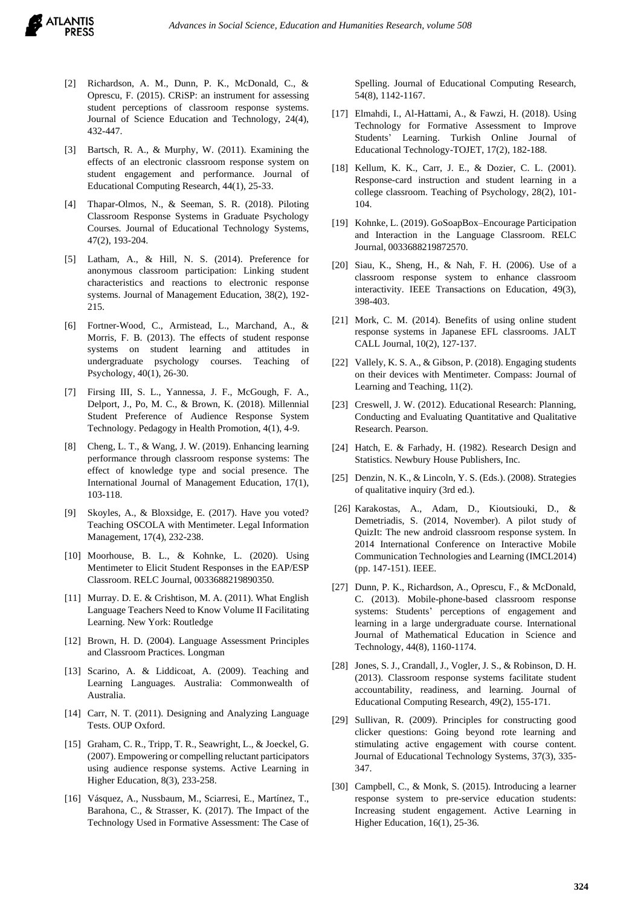- [2] Richardson, A. M., Dunn, P. K., McDonald, C., & Oprescu, F. (2015). CRiSP: an instrument for assessing student perceptions of classroom response systems. Journal of Science Education and Technology, 24(4), 432-447.
- [3] Bartsch, R. A., & Murphy, W. (2011). Examining the effects of an electronic classroom response system on student engagement and performance. Journal of Educational Computing Research, 44(1), 25-33.
- [4] Thapar-Olmos, N., & Seeman, S. R. (2018). Piloting Classroom Response Systems in Graduate Psychology Courses. Journal of Educational Technology Systems, 47(2), 193-204.
- [5] Latham, A., & Hill, N. S. (2014). Preference for anonymous classroom participation: Linking student characteristics and reactions to electronic response systems. Journal of Management Education, 38(2), 192- 215.
- [6] Fortner-Wood, C., Armistead, L., Marchand, A., & Morris, F. B. (2013). The effects of student response systems on student learning and attitudes in undergraduate psychology courses. Teaching of Psychology, 40(1), 26-30.
- [7] Firsing III, S. L., Yannessa, J. F., McGough, F. A., Delport, J., Po, M. C., & Brown, K. (2018). Millennial Student Preference of Audience Response System Technology. Pedagogy in Health Promotion, 4(1), 4-9.
- [8] Cheng, L. T., & Wang, J. W. (2019). Enhancing learning performance through classroom response systems: The effect of knowledge type and social presence. The International Journal of Management Education, 17(1), 103-118.
- [9] Skoyles, A., & Bloxsidge, E. (2017). Have you voted? Teaching OSCOLA with Mentimeter. Legal Information Management, 17(4), 232-238.
- [10] Moorhouse, B. L., & Kohnke, L. (2020). Using Mentimeter to Elicit Student Responses in the EAP/ESP Classroom. RELC Journal, 0033688219890350.
- [11] Murray. D. E. & Crishtison, M. A. (2011). What English Language Teachers Need to Know Volume II Facilitating Learning. New York: Routledge
- [12] Brown, H. D. (2004). Language Assessment Principles and Classroom Practices. Longman
- [13] Scarino, A. & Liddicoat, A. (2009). Teaching and Learning Languages. Australia: Commonwealth of Australia.
- [14] Carr, N. T. (2011). Designing and Analyzing Language Tests. OUP Oxford.
- [15] Graham, C. R., Tripp, T. R., Seawright, L., & Joeckel, G. (2007). Empowering or compelling reluctant participators using audience response systems. Active Learning in Higher Education, 8(3), 233-258.
- [16] Vásquez, A., Nussbaum, M., Sciarresi, E., Martínez, T., Barahona, C., & Strasser, K. (2017). The Impact of the Technology Used in Formative Assessment: The Case of

Spelling. Journal of Educational Computing Research, 54(8), 1142-1167.

- [17] Elmahdi, I., Al-Hattami, A., & Fawzi, H. (2018). Using Technology for Formative Assessment to Improve Students' Learning. Turkish Online Journal of Educational Technology-TOJET, 17(2), 182-188.
- [18] Kellum, K. K., Carr, J. E., & Dozier, C. L. (2001). Response-card instruction and student learning in a college classroom. Teaching of Psychology, 28(2), 101- 104.
- [19] Kohnke, L. (2019). GoSoapBox–Encourage Participation and Interaction in the Language Classroom. RELC Journal, 0033688219872570.
- [20] Siau, K., Sheng, H., & Nah, F. H. (2006). Use of a classroom response system to enhance classroom interactivity. IEEE Transactions on Education, 49(3), 398-403.
- [21] Mork, C. M. (2014). Benefits of using online student response systems in Japanese EFL classrooms. JALT CALL Journal, 10(2), 127-137.
- [22] Vallely, K. S. A., & Gibson, P. (2018). Engaging students on their devices with Mentimeter. Compass: Journal of Learning and Teaching, 11(2).
- [23] Creswell, J. W. (2012). Educational Research: Planning, Conducting and Evaluating Quantitative and Qualitative Research. Pearson.
- [24] Hatch, E. & Farhady, H. (1982). Research Design and Statistics. Newbury House Publishers, Inc.
- [25] Denzin, N. K., & Lincoln, Y. S. (Eds.). (2008). Strategies of qualitative inquiry (3rd ed.).
- [26] Karakostas, A., Adam, D., Kioutsiouki, D., & Demetriadis, S. (2014, November). A pilot study of QuizIt: The new android classroom response system. In 2014 International Conference on Interactive Mobile Communication Technologies and Learning (IMCL2014) (pp. 147-151). IEEE.
- [27] Dunn, P. K., Richardson, A., Oprescu, F., & McDonald, C. (2013). Mobile-phone-based classroom response systems: Students' perceptions of engagement and learning in a large undergraduate course. International Journal of Mathematical Education in Science and Technology, 44(8), 1160-1174.
- [28] Jones, S. J., Crandall, J., Vogler, J. S., & Robinson, D. H. (2013). Classroom response systems facilitate student accountability, readiness, and learning. Journal of Educational Computing Research, 49(2), 155-171.
- [29] Sullivan, R. (2009). Principles for constructing good clicker questions: Going beyond rote learning and stimulating active engagement with course content. Journal of Educational Technology Systems, 37(3), 335- 347.
- [30] Campbell, C., & Monk, S. (2015). Introducing a learner response system to pre-service education students: Increasing student engagement. Active Learning in Higher Education, 16(1), 25-36.